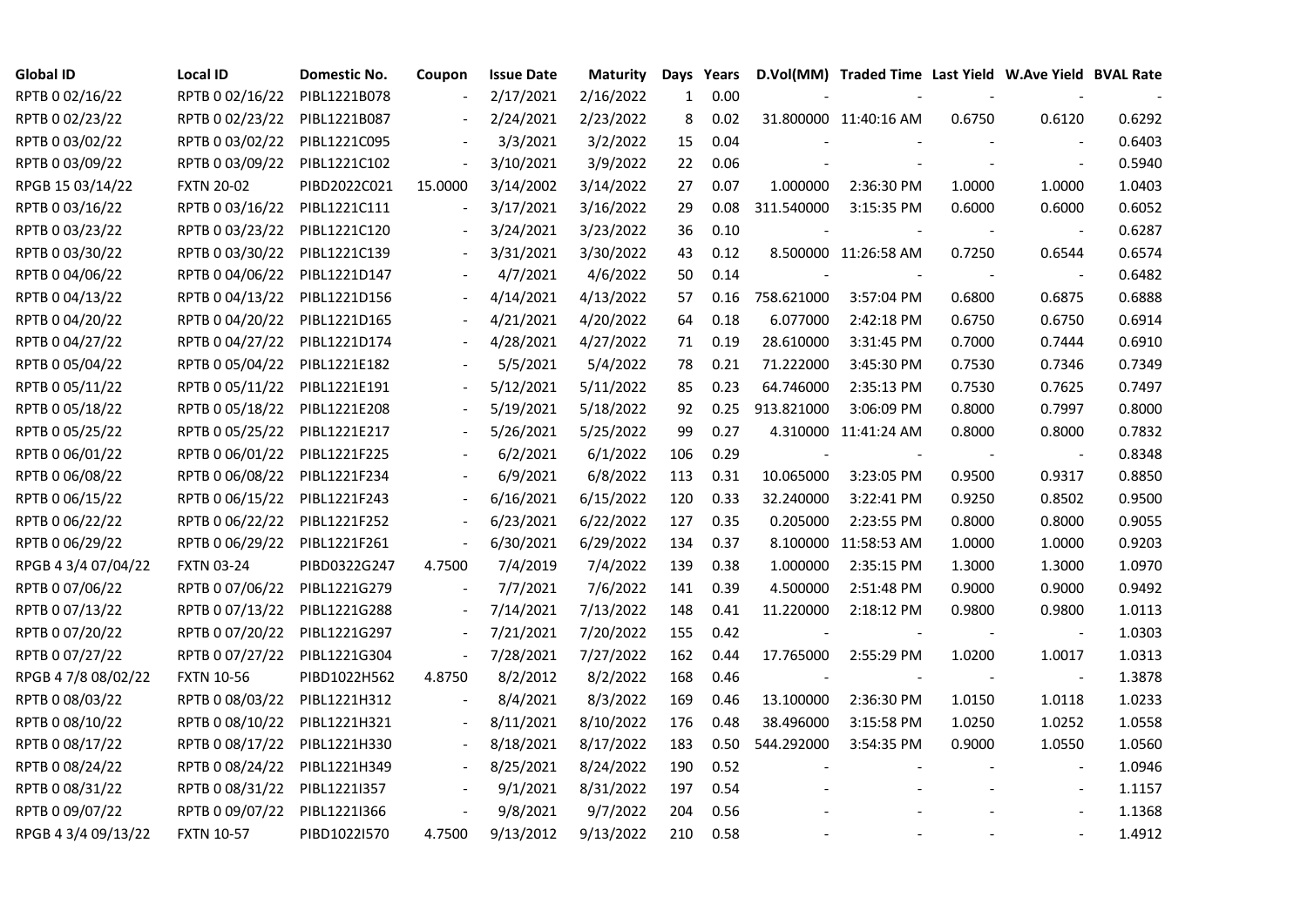| <b>Global ID</b>    | Local ID          | Domestic No. | Coupon                   | <b>Issue Date</b> | <b>Maturity</b> | Days | Years |            | D.Vol(MM) Traded Time Last Yield W.Ave Yield BVAL Rate |        |                          |        |
|---------------------|-------------------|--------------|--------------------------|-------------------|-----------------|------|-------|------------|--------------------------------------------------------|--------|--------------------------|--------|
| RPTB 0 02/16/22     | RPTB 0 02/16/22   | PIBL1221B078 |                          | 2/17/2021         | 2/16/2022       | 1    | 0.00  |            |                                                        |        |                          |        |
| RPTB 0 02/23/22     | RPTB 0 02/23/22   | PIBL1221B087 |                          | 2/24/2021         | 2/23/2022       | 8    | 0.02  |            | 31.800000 11:40:16 AM                                  | 0.6750 | 0.6120                   | 0.6292 |
| RPTB 0 03/02/22     | RPTB 0 03/02/22   | PIBL1221C095 |                          | 3/3/2021          | 3/2/2022        | 15   | 0.04  |            |                                                        |        |                          | 0.6403 |
| RPTB 0 03/09/22     | RPTB 0 03/09/22   | PIBL1221C102 | $\overline{\phantom{a}}$ | 3/10/2021         | 3/9/2022        | 22   | 0.06  |            |                                                        |        |                          | 0.5940 |
| RPGB 15 03/14/22    | <b>FXTN 20-02</b> | PIBD2022C021 | 15.0000                  | 3/14/2002         | 3/14/2022       | 27   | 0.07  | 1.000000   | 2:36:30 PM                                             | 1.0000 | 1.0000                   | 1.0403 |
| RPTB 0 03/16/22     | RPTB 0 03/16/22   | PIBL1221C111 | $\blacksquare$           | 3/17/2021         | 3/16/2022       | 29   | 0.08  | 311.540000 | 3:15:35 PM                                             | 0.6000 | 0.6000                   | 0.6052 |
| RPTB 0 03/23/22     | RPTB 0 03/23/22   | PIBL1221C120 |                          | 3/24/2021         | 3/23/2022       | 36   | 0.10  |            |                                                        |        | $\overline{\phantom{a}}$ | 0.6287 |
| RPTB 0 03/30/22     | RPTB 0 03/30/22   | PIBL1221C139 |                          | 3/31/2021         | 3/30/2022       | 43   | 0.12  |            | 8.500000 11:26:58 AM                                   | 0.7250 | 0.6544                   | 0.6574 |
| RPTB 0 04/06/22     | RPTB 0 04/06/22   | PIBL1221D147 |                          | 4/7/2021          | 4/6/2022        | 50   | 0.14  |            |                                                        |        |                          | 0.6482 |
| RPTB 0 04/13/22     | RPTB 0 04/13/22   | PIBL1221D156 |                          | 4/14/2021         | 4/13/2022       | 57   | 0.16  | 758.621000 | 3:57:04 PM                                             | 0.6800 | 0.6875                   | 0.6888 |
| RPTB 0 04/20/22     | RPTB 0 04/20/22   | PIBL1221D165 |                          | 4/21/2021         | 4/20/2022       | 64   | 0.18  | 6.077000   | 2:42:18 PM                                             | 0.6750 | 0.6750                   | 0.6914 |
| RPTB 0 04/27/22     | RPTB 0 04/27/22   | PIBL1221D174 |                          | 4/28/2021         | 4/27/2022       | 71   | 0.19  | 28.610000  | 3:31:45 PM                                             | 0.7000 | 0.7444                   | 0.6910 |
| RPTB 0 05/04/22     | RPTB 0 05/04/22   | PIBL1221E182 |                          | 5/5/2021          | 5/4/2022        | 78   | 0.21  | 71.222000  | 3:45:30 PM                                             | 0.7530 | 0.7346                   | 0.7349 |
| RPTB 0 05/11/22     | RPTB 0 05/11/22   | PIBL1221E191 |                          | 5/12/2021         | 5/11/2022       | 85   | 0.23  | 64.746000  | 2:35:13 PM                                             | 0.7530 | 0.7625                   | 0.7497 |
| RPTB 0 05/18/22     | RPTB 0 05/18/22   | PIBL1221E208 |                          | 5/19/2021         | 5/18/2022       | 92   | 0.25  | 913.821000 | 3:06:09 PM                                             | 0.8000 | 0.7997                   | 0.8000 |
| RPTB 0 05/25/22     | RPTB 0 05/25/22   | PIBL1221E217 |                          | 5/26/2021         | 5/25/2022       | 99   | 0.27  |            | 4.310000 11:41:24 AM                                   | 0.8000 | 0.8000                   | 0.7832 |
| RPTB 0 06/01/22     | RPTB 0 06/01/22   | PIBL1221F225 |                          | 6/2/2021          | 6/1/2022        | 106  | 0.29  |            |                                                        |        |                          | 0.8348 |
| RPTB 0 06/08/22     | RPTB 0 06/08/22   | PIBL1221F234 |                          | 6/9/2021          | 6/8/2022        | 113  | 0.31  | 10.065000  | 3:23:05 PM                                             | 0.9500 | 0.9317                   | 0.8850 |
| RPTB 0 06/15/22     | RPTB 0 06/15/22   | PIBL1221F243 |                          | 6/16/2021         | 6/15/2022       | 120  | 0.33  | 32.240000  | 3:22:41 PM                                             | 0.9250 | 0.8502                   | 0.9500 |
| RPTB 0 06/22/22     | RPTB 0 06/22/22   | PIBL1221F252 |                          | 6/23/2021         | 6/22/2022       | 127  | 0.35  | 0.205000   | 2:23:55 PM                                             | 0.8000 | 0.8000                   | 0.9055 |
| RPTB 0 06/29/22     | RPTB 0 06/29/22   | PIBL1221F261 | $\blacksquare$           | 6/30/2021         | 6/29/2022       | 134  | 0.37  |            | 8.100000 11:58:53 AM                                   | 1.0000 | 1.0000                   | 0.9203 |
| RPGB 4 3/4 07/04/22 | <b>FXTN 03-24</b> | PIBD0322G247 | 4.7500                   | 7/4/2019          | 7/4/2022        | 139  | 0.38  | 1.000000   | 2:35:15 PM                                             | 1.3000 | 1.3000                   | 1.0970 |
| RPTB 0 07/06/22     | RPTB 0 07/06/22   | PIBL1221G279 |                          | 7/7/2021          | 7/6/2022        | 141  | 0.39  | 4.500000   | 2:51:48 PM                                             | 0.9000 | 0.9000                   | 0.9492 |
| RPTB 0 07/13/22     | RPTB 0 07/13/22   | PIBL1221G288 | $\blacksquare$           | 7/14/2021         | 7/13/2022       | 148  | 0.41  | 11.220000  | 2:18:12 PM                                             | 0.9800 | 0.9800                   | 1.0113 |
| RPTB 0 07/20/22     | RPTB 0 07/20/22   | PIBL1221G297 | $\overline{\phantom{a}}$ | 7/21/2021         | 7/20/2022       | 155  | 0.42  |            |                                                        |        |                          | 1.0303 |
| RPTB 0 07/27/22     | RPTB 0 07/27/22   | PIBL1221G304 | $\sim$                   | 7/28/2021         | 7/27/2022       | 162  | 0.44  | 17.765000  | 2:55:29 PM                                             | 1.0200 | 1.0017                   | 1.0313 |
| RPGB 4 7/8 08/02/22 | <b>FXTN 10-56</b> | PIBD1022H562 | 4.8750                   | 8/2/2012          | 8/2/2022        | 168  | 0.46  |            |                                                        |        | $\overline{\phantom{a}}$ | 1.3878 |
| RPTB 0 08/03/22     | RPTB 0 08/03/22   | PIBL1221H312 | $\blacksquare$           | 8/4/2021          | 8/3/2022        | 169  | 0.46  | 13.100000  | 2:36:30 PM                                             | 1.0150 | 1.0118                   | 1.0233 |
| RPTB 0 08/10/22     | RPTB 0 08/10/22   | PIBL1221H321 |                          | 8/11/2021         | 8/10/2022       | 176  | 0.48  | 38.496000  | 3:15:58 PM                                             | 1.0250 | 1.0252                   | 1.0558 |
| RPTB 0 08/17/22     | RPTB 0 08/17/22   | PIBL1221H330 |                          | 8/18/2021         | 8/17/2022       | 183  | 0.50  | 544.292000 | 3:54:35 PM                                             | 0.9000 | 1.0550                   | 1.0560 |
| RPTB 0 08/24/22     | RPTB 0 08/24/22   | PIBL1221H349 |                          | 8/25/2021         | 8/24/2022       | 190  | 0.52  |            |                                                        |        |                          | 1.0946 |
| RPTB 0 08/31/22     | RPTB 0 08/31/22   | PIBL12211357 |                          | 9/1/2021          | 8/31/2022       | 197  | 0.54  |            |                                                        |        |                          | 1.1157 |
| RPTB 0 09/07/22     | RPTB 0 09/07/22   | PIBL1221I366 |                          | 9/8/2021          | 9/7/2022        | 204  | 0.56  |            |                                                        |        |                          | 1.1368 |
| RPGB 4 3/4 09/13/22 | <b>FXTN 10-57</b> | PIBD1022I570 | 4.7500                   | 9/13/2012         | 9/13/2022       | 210  | 0.58  |            |                                                        |        |                          | 1.4912 |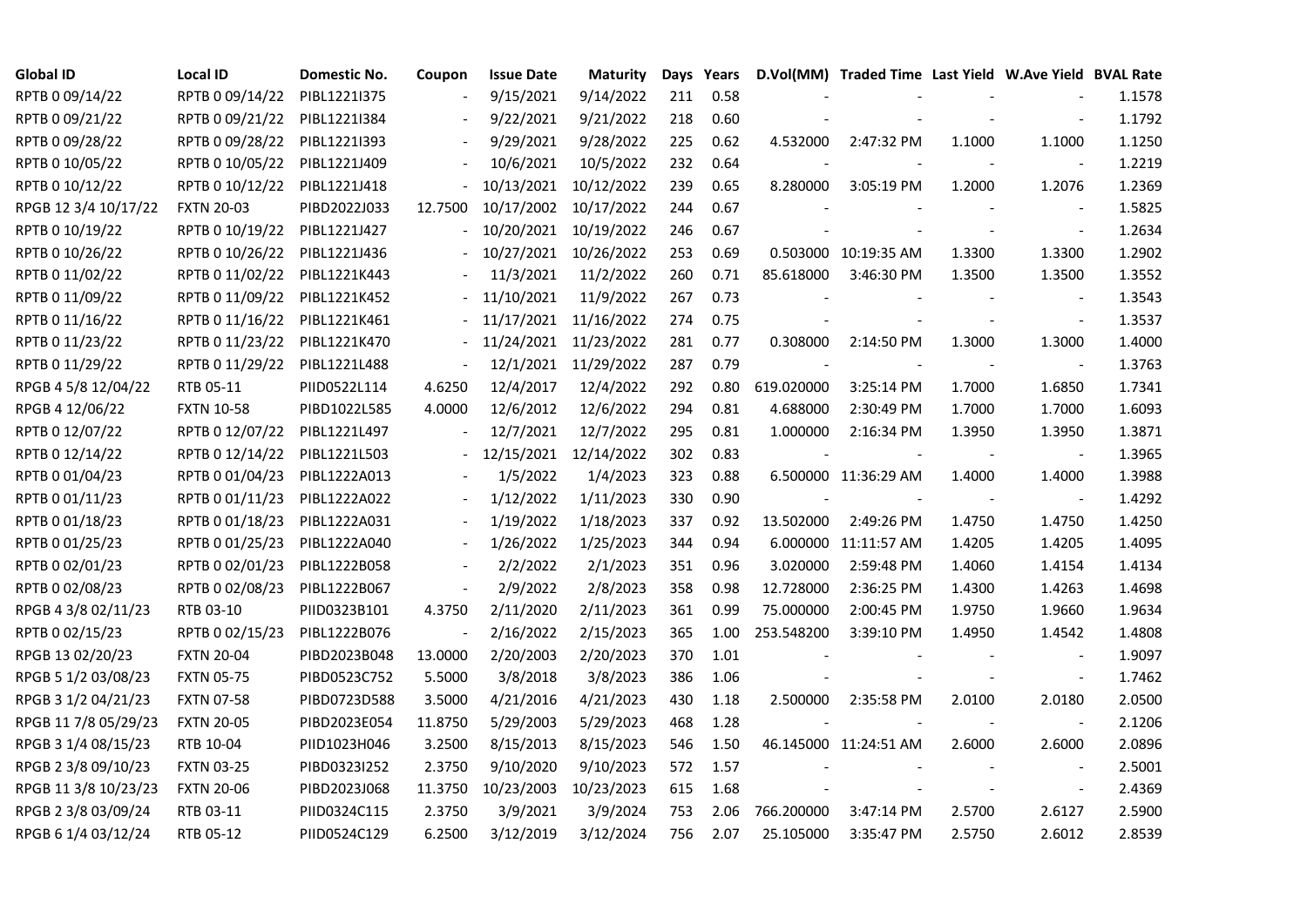| <b>Global ID</b>     | <b>Local ID</b>   | Domestic No. | Coupon  | <b>Issue Date</b> | <b>Maturity</b>       | Days | Years |            | D.Vol(MM) Traded Time Last Yield W.Ave Yield BVAL Rate |        |                          |        |
|----------------------|-------------------|--------------|---------|-------------------|-----------------------|------|-------|------------|--------------------------------------------------------|--------|--------------------------|--------|
| RPTB 0 09/14/22      | RPTB 0 09/14/22   | PIBL1221I375 |         | 9/15/2021         | 9/14/2022             | 211  | 0.58  |            |                                                        |        |                          | 1.1578 |
| RPTB 0 09/21/22      | RPTB 0 09/21/22   | PIBL1221I384 |         | 9/22/2021         | 9/21/2022             | 218  | 0.60  |            |                                                        |        |                          | 1.1792 |
| RPTB 0 09/28/22      | RPTB 0 09/28/22   | PIBL1221I393 |         | 9/29/2021         | 9/28/2022             | 225  | 0.62  | 4.532000   | 2:47:32 PM                                             | 1.1000 | 1.1000                   | 1.1250 |
| RPTB 0 10/05/22      | RPTB 0 10/05/22   | PIBL1221J409 |         | 10/6/2021         | 10/5/2022             | 232  | 0.64  |            |                                                        |        | $\sim$                   | 1.2219 |
| RPTB 0 10/12/22      | RPTB 0 10/12/22   | PIBL1221J418 |         | 10/13/2021        | 10/12/2022            | 239  | 0.65  | 8.280000   | 3:05:19 PM                                             | 1.2000 | 1.2076                   | 1.2369 |
| RPGB 12 3/4 10/17/22 | <b>FXTN 20-03</b> | PIBD2022J033 | 12.7500 | 10/17/2002        | 10/17/2022            | 244  | 0.67  |            |                                                        |        | $\sim$                   | 1.5825 |
| RPTB 0 10/19/22      | RPTB 0 10/19/22   | PIBL1221J427 |         | 10/20/2021        | 10/19/2022            | 246  | 0.67  |            |                                                        |        | $\blacksquare$           | 1.2634 |
| RPTB 0 10/26/22      | RPTB 0 10/26/22   | PIBL1221J436 |         |                   | 10/27/2021 10/26/2022 | 253  | 0.69  |            | 0.503000 10:19:35 AM                                   | 1.3300 | 1.3300                   | 1.2902 |
| RPTB 0 11/02/22      | RPTB 0 11/02/22   | PIBL1221K443 |         | 11/3/2021         | 11/2/2022             | 260  | 0.71  | 85.618000  | 3:46:30 PM                                             | 1.3500 | 1.3500                   | 1.3552 |
| RPTB 0 11/09/22      | RPTB 0 11/09/22   | PIBL1221K452 |         | 11/10/2021        | 11/9/2022             | 267  | 0.73  |            |                                                        |        |                          | 1.3543 |
| RPTB 0 11/16/22      | RPTB 0 11/16/22   | PIBL1221K461 |         | 11/17/2021        | 11/16/2022            | 274  | 0.75  |            |                                                        |        | $\bar{\phantom{a}}$      | 1.3537 |
| RPTB 0 11/23/22      | RPTB 0 11/23/22   | PIBL1221K470 |         | 11/24/2021        | 11/23/2022            | 281  | 0.77  | 0.308000   | 2:14:50 PM                                             | 1.3000 | 1.3000                   | 1.4000 |
| RPTB 0 11/29/22      | RPTB 0 11/29/22   | PIBL1221L488 |         | 12/1/2021         | 11/29/2022            | 287  | 0.79  |            |                                                        |        | $\blacksquare$           | 1.3763 |
| RPGB 4 5/8 12/04/22  | RTB 05-11         | PIID0522L114 | 4.6250  | 12/4/2017         | 12/4/2022             | 292  | 0.80  | 619.020000 | 3:25:14 PM                                             | 1.7000 | 1.6850                   | 1.7341 |
| RPGB 4 12/06/22      | <b>FXTN 10-58</b> | PIBD1022L585 | 4.0000  | 12/6/2012         | 12/6/2022             | 294  | 0.81  | 4.688000   | 2:30:49 PM                                             | 1.7000 | 1.7000                   | 1.6093 |
| RPTB 0 12/07/22      | RPTB 0 12/07/22   | PIBL1221L497 |         | 12/7/2021         | 12/7/2022             | 295  | 0.81  | 1.000000   | 2:16:34 PM                                             | 1.3950 | 1.3950                   | 1.3871 |
| RPTB 0 12/14/22      | RPTB 0 12/14/22   | PIBL1221L503 |         | 12/15/2021        | 12/14/2022            | 302  | 0.83  |            |                                                        |        |                          | 1.3965 |
| RPTB 0 01/04/23      | RPTB 0 01/04/23   | PIBL1222A013 |         | 1/5/2022          | 1/4/2023              | 323  | 0.88  |            | 6.500000 11:36:29 AM                                   | 1.4000 | 1.4000                   | 1.3988 |
| RPTB 0 01/11/23      | RPTB 0 01/11/23   | PIBL1222A022 |         | 1/12/2022         | 1/11/2023             | 330  | 0.90  |            |                                                        |        | $\overline{\phantom{a}}$ | 1.4292 |
| RPTB 0 01/18/23      | RPTB 0 01/18/23   | PIBL1222A031 |         | 1/19/2022         | 1/18/2023             | 337  | 0.92  | 13.502000  | 2:49:26 PM                                             | 1.4750 | 1.4750                   | 1.4250 |
| RPTB 0 01/25/23      | RPTB 0 01/25/23   | PIBL1222A040 |         | 1/26/2022         | 1/25/2023             | 344  | 0.94  |            | 6.000000 11:11:57 AM                                   | 1.4205 | 1.4205                   | 1.4095 |
| RPTB 0 02/01/23      | RPTB 0 02/01/23   | PIBL1222B058 |         | 2/2/2022          | 2/1/2023              | 351  | 0.96  | 3.020000   | 2:59:48 PM                                             | 1.4060 | 1.4154                   | 1.4134 |
| RPTB 0 02/08/23      | RPTB 0 02/08/23   | PIBL1222B067 |         | 2/9/2022          | 2/8/2023              | 358  | 0.98  | 12.728000  | 2:36:25 PM                                             | 1.4300 | 1.4263                   | 1.4698 |
| RPGB 4 3/8 02/11/23  | RTB 03-10         | PIID0323B101 | 4.3750  | 2/11/2020         | 2/11/2023             | 361  | 0.99  | 75.000000  | 2:00:45 PM                                             | 1.9750 | 1.9660                   | 1.9634 |
| RPTB 0 02/15/23      | RPTB 0 02/15/23   | PIBL1222B076 |         | 2/16/2022         | 2/15/2023             | 365  | 1.00  | 253.548200 | 3:39:10 PM                                             | 1.4950 | 1.4542                   | 1.4808 |
| RPGB 13 02/20/23     | <b>FXTN 20-04</b> | PIBD2023B048 | 13.0000 | 2/20/2003         | 2/20/2023             | 370  | 1.01  |            |                                                        |        | $\blacksquare$           | 1.9097 |
| RPGB 5 1/2 03/08/23  | <b>FXTN 05-75</b> | PIBD0523C752 | 5.5000  | 3/8/2018          | 3/8/2023              | 386  | 1.06  |            |                                                        |        | $\bar{\phantom{a}}$      | 1.7462 |
| RPGB 3 1/2 04/21/23  | <b>FXTN 07-58</b> | PIBD0723D588 | 3.5000  | 4/21/2016         | 4/21/2023             | 430  | 1.18  | 2.500000   | 2:35:58 PM                                             | 2.0100 | 2.0180                   | 2.0500 |
| RPGB 11 7/8 05/29/23 | <b>FXTN 20-05</b> | PIBD2023E054 | 11.8750 | 5/29/2003         | 5/29/2023             | 468  | 1.28  |            |                                                        |        | $\overline{\phantom{a}}$ | 2.1206 |
| RPGB 3 1/4 08/15/23  | RTB 10-04         | PIID1023H046 | 3.2500  | 8/15/2013         | 8/15/2023             | 546  | 1.50  |            | 46.145000 11:24:51 AM                                  | 2.6000 | 2.6000                   | 2.0896 |
| RPGB 2 3/8 09/10/23  | <b>FXTN 03-25</b> | PIBD0323I252 | 2.3750  | 9/10/2020         | 9/10/2023             | 572  | 1.57  |            |                                                        |        |                          | 2.5001 |
| RPGB 11 3/8 10/23/23 | <b>FXTN 20-06</b> | PIBD2023J068 | 11.3750 | 10/23/2003        | 10/23/2023            | 615  | 1.68  |            |                                                        |        | $\blacksquare$           | 2.4369 |
| RPGB 2 3/8 03/09/24  | RTB 03-11         | PIID0324C115 | 2.3750  | 3/9/2021          | 3/9/2024              | 753  | 2.06  | 766.200000 | 3:47:14 PM                                             | 2.5700 | 2.6127                   | 2.5900 |
| RPGB 6 1/4 03/12/24  | RTB 05-12         | PIID0524C129 | 6.2500  | 3/12/2019         | 3/12/2024             | 756  | 2.07  | 25.105000  | 3:35:47 PM                                             | 2.5750 | 2.6012                   | 2.8539 |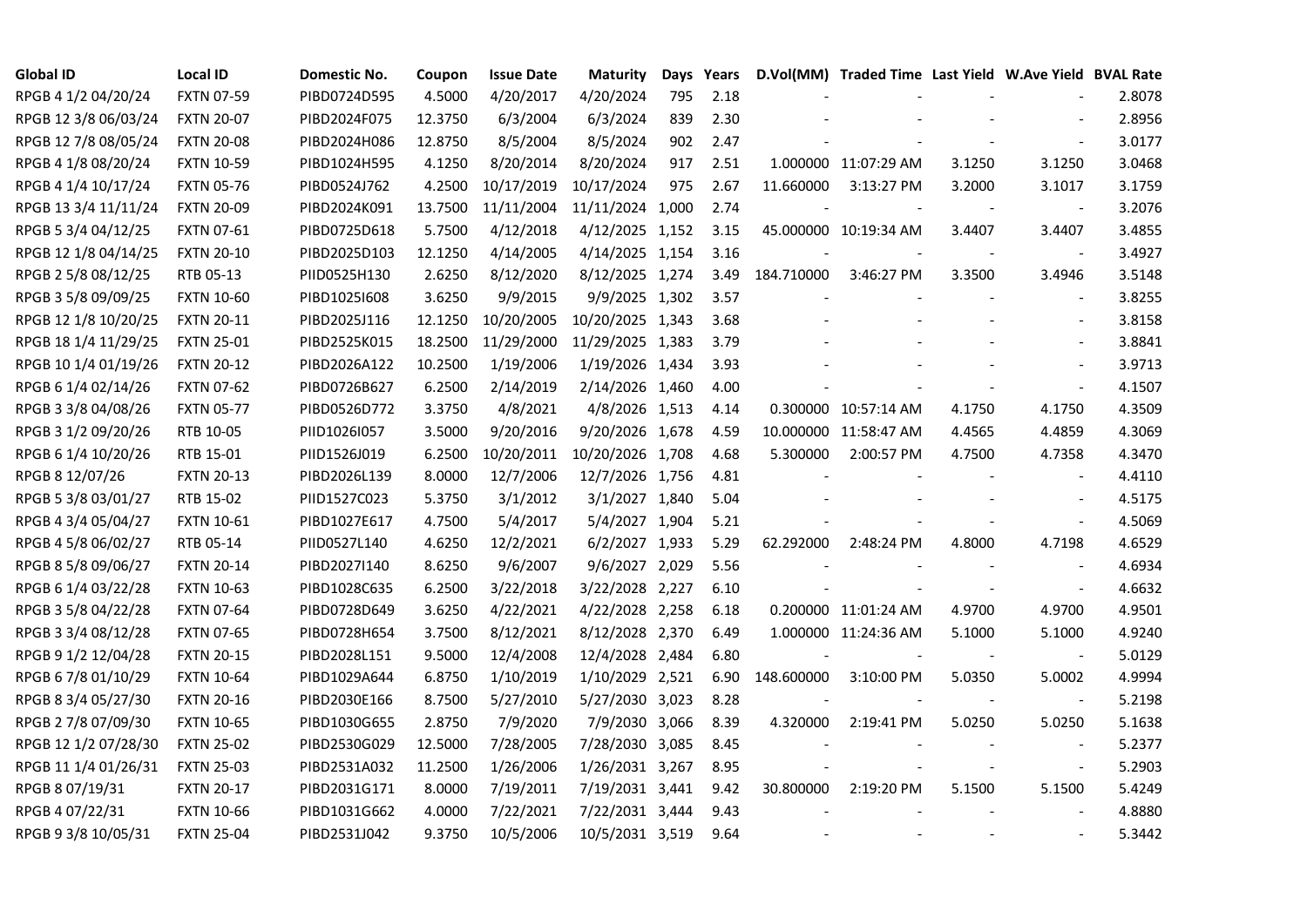| <b>Global ID</b>     | <b>Local ID</b>   | Domestic No. | Coupon  | <b>Issue Date</b> | <b>Maturity</b>  | Days | Years |            | D.Vol(MM) Traded Time Last Yield W.Ave Yield BVAL Rate |        |                          |        |
|----------------------|-------------------|--------------|---------|-------------------|------------------|------|-------|------------|--------------------------------------------------------|--------|--------------------------|--------|
| RPGB 4 1/2 04/20/24  | <b>FXTN 07-59</b> | PIBD0724D595 | 4.5000  | 4/20/2017         | 4/20/2024        | 795  | 2.18  |            |                                                        |        |                          | 2.8078 |
| RPGB 12 3/8 06/03/24 | <b>FXTN 20-07</b> | PIBD2024F075 | 12.3750 | 6/3/2004          | 6/3/2024         | 839  | 2.30  |            |                                                        |        |                          | 2.8956 |
| RPGB 12 7/8 08/05/24 | <b>FXTN 20-08</b> | PIBD2024H086 | 12.8750 | 8/5/2004          | 8/5/2024         | 902  | 2.47  |            |                                                        |        |                          | 3.0177 |
| RPGB 4 1/8 08/20/24  | <b>FXTN 10-59</b> | PIBD1024H595 | 4.1250  | 8/20/2014         | 8/20/2024        | 917  | 2.51  |            | 1.000000 11:07:29 AM                                   | 3.1250 | 3.1250                   | 3.0468 |
| RPGB 4 1/4 10/17/24  | <b>FXTN 05-76</b> | PIBD0524J762 | 4.2500  | 10/17/2019        | 10/17/2024       | 975  | 2.67  | 11.660000  | 3:13:27 PM                                             | 3.2000 | 3.1017                   | 3.1759 |
| RPGB 13 3/4 11/11/24 | <b>FXTN 20-09</b> | PIBD2024K091 | 13.7500 | 11/11/2004        | 11/11/2024 1,000 |      | 2.74  |            |                                                        |        | $\overline{\phantom{a}}$ | 3.2076 |
| RPGB 5 3/4 04/12/25  | <b>FXTN 07-61</b> | PIBD0725D618 | 5.7500  | 4/12/2018         | 4/12/2025 1,152  |      | 3.15  |            | 45.000000 10:19:34 AM                                  | 3.4407 | 3.4407                   | 3.4855 |
| RPGB 12 1/8 04/14/25 | <b>FXTN 20-10</b> | PIBD2025D103 | 12.1250 | 4/14/2005         | 4/14/2025 1,154  |      | 3.16  |            |                                                        |        | $\blacksquare$           | 3.4927 |
| RPGB 2 5/8 08/12/25  | RTB 05-13         | PIID0525H130 | 2.6250  | 8/12/2020         | 8/12/2025 1,274  |      | 3.49  | 184.710000 | 3:46:27 PM                                             | 3.3500 | 3.4946                   | 3.5148 |
| RPGB 3 5/8 09/09/25  | <b>FXTN 10-60</b> | PIBD10251608 | 3.6250  | 9/9/2015          | 9/9/2025 1,302   |      | 3.57  |            |                                                        |        | $\sim$                   | 3.8255 |
| RPGB 12 1/8 10/20/25 | <b>FXTN 20-11</b> | PIBD2025J116 | 12.1250 | 10/20/2005        | 10/20/2025 1,343 |      | 3.68  |            |                                                        |        |                          | 3.8158 |
| RPGB 18 1/4 11/29/25 | <b>FXTN 25-01</b> | PIBD2525K015 | 18.2500 | 11/29/2000        | 11/29/2025 1,383 |      | 3.79  |            |                                                        |        | $\blacksquare$           | 3.8841 |
| RPGB 10 1/4 01/19/26 | <b>FXTN 20-12</b> | PIBD2026A122 | 10.2500 | 1/19/2006         | 1/19/2026 1,434  |      | 3.93  |            |                                                        |        |                          | 3.9713 |
| RPGB 6 1/4 02/14/26  | <b>FXTN 07-62</b> | PIBD0726B627 | 6.2500  | 2/14/2019         | 2/14/2026 1,460  |      | 4.00  |            |                                                        |        | $\blacksquare$           | 4.1507 |
| RPGB 3 3/8 04/08/26  | <b>FXTN 05-77</b> | PIBD0526D772 | 3.3750  | 4/8/2021          | 4/8/2026 1,513   |      | 4.14  |            | 0.300000 10:57:14 AM                                   | 4.1750 | 4.1750                   | 4.3509 |
| RPGB 3 1/2 09/20/26  | RTB 10-05         | PIID1026I057 | 3.5000  | 9/20/2016         | 9/20/2026 1,678  |      | 4.59  |            | 10.000000 11:58:47 AM                                  | 4.4565 | 4.4859                   | 4.3069 |
| RPGB 6 1/4 10/20/26  | RTB 15-01         | PIID1526J019 | 6.2500  | 10/20/2011        | 10/20/2026 1,708 |      | 4.68  | 5.300000   | 2:00:57 PM                                             | 4.7500 | 4.7358                   | 4.3470 |
| RPGB 8 12/07/26      | <b>FXTN 20-13</b> | PIBD2026L139 | 8.0000  | 12/7/2006         | 12/7/2026 1,756  |      | 4.81  |            |                                                        |        |                          | 4.4110 |
| RPGB 5 3/8 03/01/27  | RTB 15-02         | PIID1527C023 | 5.3750  | 3/1/2012          | 3/1/2027 1,840   |      | 5.04  |            |                                                        |        | $\overline{\phantom{a}}$ | 4.5175 |
| RPGB 4 3/4 05/04/27  | <b>FXTN 10-61</b> | PIBD1027E617 | 4.7500  | 5/4/2017          | 5/4/2027 1,904   |      | 5.21  |            |                                                        |        | $\blacksquare$           | 4.5069 |
| RPGB 4 5/8 06/02/27  | RTB 05-14         | PIID0527L140 | 4.6250  | 12/2/2021         | 6/2/2027 1,933   |      | 5.29  | 62.292000  | 2:48:24 PM                                             | 4.8000 | 4.7198                   | 4.6529 |
| RPGB 8 5/8 09/06/27  | <b>FXTN 20-14</b> | PIBD2027I140 | 8.6250  | 9/6/2007          | 9/6/2027 2,029   |      | 5.56  |            |                                                        |        |                          | 4.6934 |
| RPGB 6 1/4 03/22/28  | <b>FXTN 10-63</b> | PIBD1028C635 | 6.2500  | 3/22/2018         | 3/22/2028 2,227  |      | 6.10  |            |                                                        |        |                          | 4.6632 |
| RPGB 3 5/8 04/22/28  | <b>FXTN 07-64</b> | PIBD0728D649 | 3.6250  | 4/22/2021         | 4/22/2028 2,258  |      | 6.18  |            | 0.200000 11:01:24 AM                                   | 4.9700 | 4.9700                   | 4.9501 |
| RPGB 3 3/4 08/12/28  | <b>FXTN 07-65</b> | PIBD0728H654 | 3.7500  | 8/12/2021         | 8/12/2028 2,370  |      | 6.49  |            | 1.000000 11:24:36 AM                                   | 5.1000 | 5.1000                   | 4.9240 |
| RPGB 9 1/2 12/04/28  | <b>FXTN 20-15</b> | PIBD2028L151 | 9.5000  | 12/4/2008         | 12/4/2028 2,484  |      | 6.80  |            |                                                        |        | $\overline{\phantom{a}}$ | 5.0129 |
| RPGB 67/8 01/10/29   | <b>FXTN 10-64</b> | PIBD1029A644 | 6.8750  | 1/10/2019         | 1/10/2029 2,521  |      | 6.90  | 148.600000 | 3:10:00 PM                                             | 5.0350 | 5.0002                   | 4.9994 |
| RPGB 8 3/4 05/27/30  | <b>FXTN 20-16</b> | PIBD2030E166 | 8.7500  | 5/27/2010         | 5/27/2030 3,023  |      | 8.28  |            |                                                        |        | $\blacksquare$           | 5.2198 |
| RPGB 2 7/8 07/09/30  | <b>FXTN 10-65</b> | PIBD1030G655 | 2.8750  | 7/9/2020          | 7/9/2030 3,066   |      | 8.39  | 4.320000   | 2:19:41 PM                                             | 5.0250 | 5.0250                   | 5.1638 |
| RPGB 12 1/2 07/28/30 | <b>FXTN 25-02</b> | PIBD2530G029 | 12.5000 | 7/28/2005         | 7/28/2030 3,085  |      | 8.45  |            |                                                        |        |                          | 5.2377 |
| RPGB 11 1/4 01/26/31 | <b>FXTN 25-03</b> | PIBD2531A032 | 11.2500 | 1/26/2006         | 1/26/2031 3,267  |      | 8.95  |            |                                                        |        | $\blacksquare$           | 5.2903 |
| RPGB 8 07/19/31      | <b>FXTN 20-17</b> | PIBD2031G171 | 8.0000  | 7/19/2011         | 7/19/2031 3,441  |      | 9.42  | 30.800000  | 2:19:20 PM                                             | 5.1500 | 5.1500                   | 5.4249 |
| RPGB 4 07/22/31      | <b>FXTN 10-66</b> | PIBD1031G662 | 4.0000  | 7/22/2021         | 7/22/2031 3,444  |      | 9.43  |            |                                                        |        |                          | 4.8880 |
| RPGB 9 3/8 10/05/31  | <b>FXTN 25-04</b> | PIBD2531J042 | 9.3750  | 10/5/2006         | 10/5/2031 3,519  |      | 9.64  |            | $\sim$                                                 |        |                          | 5.3442 |